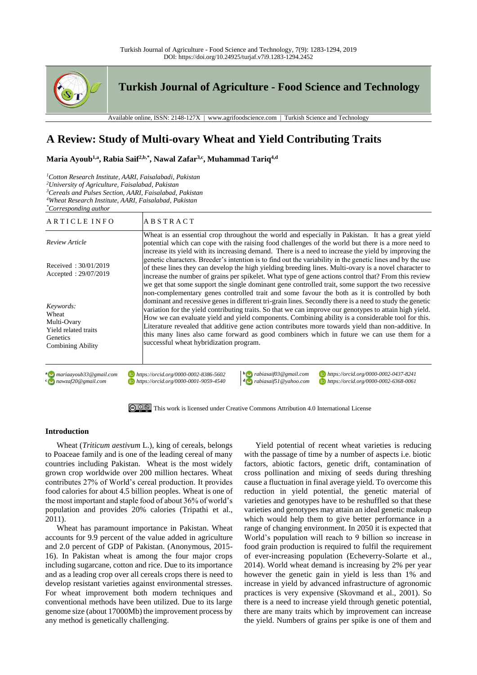

# **A Review: Study of Multi-ovary Wheat and Yield Contributing Traits**

**Maria Ayoub1,a, Rabia Saif2,b,\*, Nawal Zafar3,c, Muhammad Tariq4,d**

*<sup>1</sup>Cotton Research Institute, AARI, Faisalabadi, Pakistan*

*<sup>3</sup>Cereals and Pulses Section, AARI, Faisalabad, Pakistan*

*<sup>4</sup>Wheat Research Institute, AARI, Faisalabad, Pakistan*

*\*Corresponding author*

| ARTICLE INFO                                                                                      | <b>ABSTRACT</b>                                                                                                                                                                                                                                                                                                                                                                                                                                                                                                                                                                                                                                                          |
|---------------------------------------------------------------------------------------------------|--------------------------------------------------------------------------------------------------------------------------------------------------------------------------------------------------------------------------------------------------------------------------------------------------------------------------------------------------------------------------------------------------------------------------------------------------------------------------------------------------------------------------------------------------------------------------------------------------------------------------------------------------------------------------|
| Review Article                                                                                    | Wheat is an essential crop throughout the world and especially in Pakistan. It has a great yield<br>potential which can cope with the raising food challenges of the world but there is a more need to<br>increase its yield with its increasing demand. There is a need to increase the yield by improving the                                                                                                                                                                                                                                                                                                                                                          |
| Received: 30/01/2019<br>Accepted: 29/07/2019                                                      | genetic characters. Breeder's intention is to find out the variability in the genetic lines and by the use<br>of these lines they can develop the high yielding breeding lines. Multi-ovary is a novel character to<br>increase the number of grains per spikelet. What type of gene actions control that? From this review<br>we get that some support the single dominant gene controlled trait, some support the two recessive                                                                                                                                                                                                                                        |
| Keywords:<br>Wheat<br>Multi-Ovary<br>Yield related traits<br>Genetics<br><b>Combining Ability</b> | non-complementary genes controlled trait and some favour the both as it is controlled by both<br>dominant and recessive genes in different tri-grain lines. Secondly there is a need to study the genetic<br>variation for the yield contributing traits. So that we can improve our genotypes to attain high yield.<br>How we can evaluate yield and yield components. Combining ability is a considerable tool for this.<br>Literature revealed that additive gene action contributes more towards yield than non-additive. In<br>this many lines also came forward as good combiners which in future we can use them for a<br>successful wheat hybridization program. |
| a mariaayoub33@gmail.com<br>$\epsilon$ nawzaf20@gmail.com                                         | https://orcid.org/0000-0002-0437-8241<br>$\mathbf{b}$ rabiasaif03@gmail.com<br>https://orcid.org/0000-0002-8386-5602<br>$\triangle$ rabiasaif51@yahoo.com<br>https://orcid.org/0000-0001-9059-4540<br>https://orcid.org/0000-0002-6368-0061                                                                                                                                                                                                                                                                                                                                                                                                                              |



### **Introduction**

Wheat (*Triticum aestivum* L.), king of cereals, belongs to Poaceae family and is one of the leading cereal of many countries including Pakistan. Wheat is the most widely grown crop worldwide over 200 million hectares. Wheat contributes 27% of World's cereal production. It provides food calories for about 4.5 billion peoples. Wheat is one of the most important and staple food of about 36% of world's population and provides 20% calories (Tripathi et al., 2011).

Wheat has paramount importance in Pakistan. Wheat accounts for 9.9 percent of the value added in agriculture and 2.0 percent of GDP of Pakistan. (Anonymous, 2015- 16). In Pakistan wheat is among the four major crops including sugarcane, cotton and rice. Due to its importance and as a leading crop over all cereals crops there is need to develop resistant varieties against environmental stresses. For wheat improvement both modern techniques and conventional methods have been utilized. Due to its large genome size (about 17000Mb) the improvement process by any method is genetically challenging.

Yield potential of recent wheat varieties is reducing with the passage of time by a number of aspects i.e. biotic factors, abiotic factors, genetic drift, contamination of cross pollination and mixing of seeds during threshing cause a fluctuation in final average yield. To overcome this reduction in yield potential, the genetic material of varieties and genotypes have to be reshuffled so that these varieties and genotypes may attain an ideal genetic makeup which would help them to give better performance in a range of changing environment. In 2050 it is expected that World's population will reach to 9 billion so increase in food grain production is required to fulfil the requirement of ever-increasing population (Echeverry-Solarte et al., 2014). World wheat demand is increasing by 2% per year however the genetic gain in yield is less than 1% and increase in yield by advanced infrastructure of agronomic practices is very expensive (Skovmand et al., 2001). So there is a need to increase yield through genetic potential, there are many traits which by improvement can increase the yield. Numbers of grains per spike is one of them and

*<sup>2</sup>University of Agriculture, Faisalabad, Pakistan*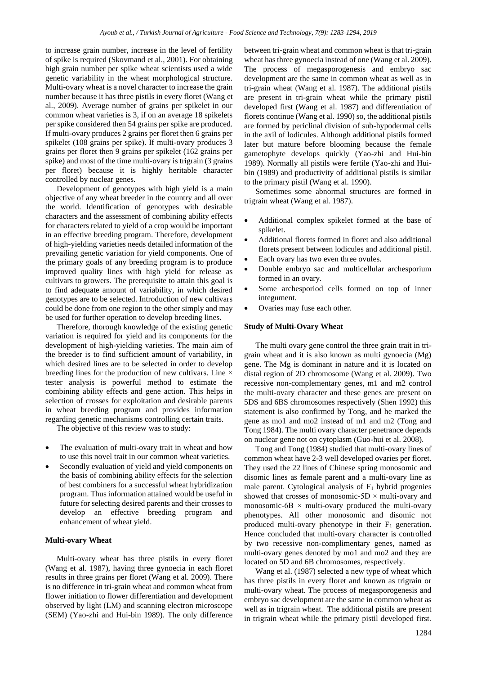to increase grain number, increase in the level of fertility of spike is required (Skovmand et al., 2001). For obtaining high grain number per spike wheat scientists used a wide genetic variability in the wheat morphological structure. Multi-ovary wheat is a novel character to increase the grain number because it has three pistils in every floret (Wang et al., 2009). Average number of grains per spikelet in our common wheat varieties is 3, if on an average 18 spikelets per spike considered then 54 grains per spike are produced. If multi-ovary produces 2 grains per floret then 6 grains per spikelet (108 grains per spike). If multi-ovary produces 3 grains per floret then 9 grains per spikelet (162 grains per spike) and most of the time multi-ovary is trigrain (3 grains per floret) because it is highly heritable character controlled by nuclear genes.

Development of genotypes with high yield is a main objective of any wheat breeder in the country and all over the world. Identification of genotypes with desirable characters and the assessment of combining ability effects for characters related to yield of a crop would be important in an effective breeding program. Therefore, development of high-yielding varieties needs detailed information of the prevailing genetic variation for yield components. One of the primary goals of any breeding program is to produce improved quality lines with high yield for release as cultivars to growers. The prerequisite to attain this goal is to find adequate amount of variability, in which desired genotypes are to be selected. Introduction of new cultivars could be done from one region to the other simply and may be used for further operation to develop breeding lines.

Therefore, thorough knowledge of the existing genetic variation is required for yield and its components for the development of high-yielding varieties. The main aim of the breeder is to find sufficient amount of variability, in which desired lines are to be selected in order to develop breeding lines for the production of new cultivars. Line  $\times$ tester analysis is powerful method to estimate the combining ability effects and gene action. This helps in selection of crosses for exploitation and desirable parents in wheat breeding program and provides information regarding genetic mechanisms controlling certain traits.

The objective of this review was to study:

- The evaluation of multi-ovary trait in wheat and how to use this novel trait in our common wheat varieties.
- Secondly evaluation of yield and yield components on the basis of combining ability effects for the selection of best combiners for a successful wheat hybridization program. Thus information attained would be useful in future for selecting desired parents and their crosses to develop an effective breeding program and enhancement of wheat yield.

## **Multi-ovary Wheat**

Multi-ovary wheat has three pistils in every floret (Wang et al. 1987), having three gynoecia in each floret results in three grains per floret (Wang et al. 2009). There is no difference in tri-grain wheat and common wheat from flower initiation to flower differentiation and development observed by light (LM) and scanning electron microscope (SEM) (Yao-zhi and Hui-bin 1989). The only difference

between tri-grain wheat and common wheat is that tri-grain wheat has three gynoecia instead of one (Wang et al. 2009). The process of megasporogenesis and embryo sac development are the same in common wheat as well as in tri-grain wheat (Wang et al. 1987). The additional pistils are present in tri-grain wheat while the primary pistil developed first (Wang et al. 1987) and differentiation of florets continue (Wang et al. 1990) so, the additional pistils are formed by periclinal division of sub-hypodermal cells in the axil of lodicules. Although additional pistils formed later but mature before blooming because the female gametophyte develops quickly (Yao-zhi and Hui-bin 1989). Normally all pistils were fertile (Yao-zhi and Huibin (1989) and productivity of additional pistils is similar to the primary pistil (Wang et al. 1990).

Sometimes some abnormal structures are formed in trigrain wheat (Wang et al. 1987).

- Additional complex spikelet formed at the base of spikelet.
- Additional florets formed in floret and also additional florets present between lodicules and additional pistil.
- Each ovary has two even three ovules.
- Double embryo sac and multicellular archesporium formed in an ovary.
- Some archesporiod cells formed on top of inner integument.
- Ovaries may fuse each other.

#### **Study of Multi-Ovary Wheat**

The multi ovary gene control the three grain trait in trigrain wheat and it is also known as multi gynoecia (Mg) gene. The Mg is dominant in nature and it is located on distal region of 2D chromosome (Wang et al. 2009). Two recessive non-complementary genes, m1 and m2 control the multi-ovary character and these genes are present on 5DS and 6BS chromosomes respectively (Shen 1992) this statement is also confirmed by Tong, and he marked the gene as mo1 and mo2 instead of m1 and m2 (Tong and Tong 1984). The multi ovary character penetrance depends on nuclear gene not on cytoplasm (Guo-hui et al. 2008).

Tong and Tong (1984) studied that multi-ovary lines of common wheat have 2-3 well developed ovaries per floret. They used the 22 lines of Chinese spring monosomic and disomic lines as female parent and a multi-ovary line as male parent. Cytological analysis of  $F_1$  hybrid progenies showed that crosses of monosomic-5D  $\times$  multi-ovary and monosomic-6B  $\times$  multi-ovary produced the multi-ovary phenotypes. All other monosomic and disomic not produced multi-ovary phenotype in their  $F_1$  generation. Hence concluded that multi-ovary character is controlled by two recessive non-complimentary genes, named as multi-ovary genes denoted by mo1 and mo2 and they are located on 5D and 6B chromosomes, respectively.

Wang et al. (1987) selected a new type of wheat which has three pistils in every floret and known as trigrain or multi-ovary wheat. The process of megasporogenesis and embryo sac development are the same in common wheat as well as in trigrain wheat. The additional pistils are present in trigrain wheat while the primary pistil developed first.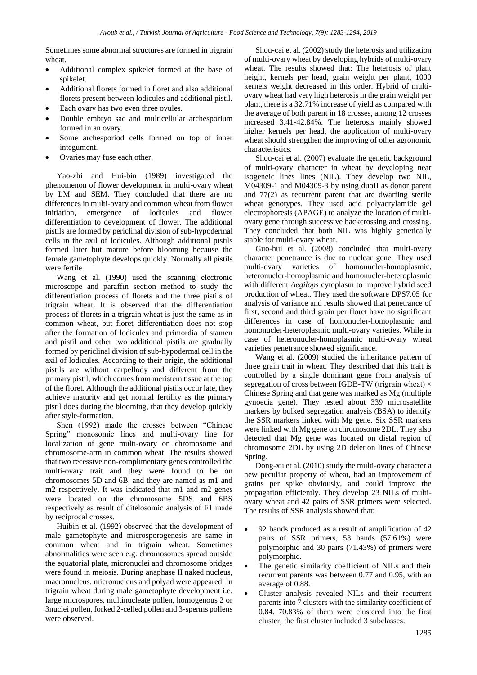Sometimes some abnormal structures are formed in trigrain wheat.

- Additional complex spikelet formed at the base of spikelet.
- Additional florets formed in floret and also additional florets present between lodicules and additional pistil.
- Each ovary has two even three ovules.
- Double embryo sac and multicellular archesporium formed in an ovary.
- Some archesporiod cells formed on top of inner integument.
- Ovaries may fuse each other.

Yao-zhi and Hui-bin (1989) investigated the phenomenon of flower development in multi-ovary wheat by LM and SEM. They concluded that there are no differences in multi-ovary and common wheat from flower initiation, emergence of lodicules and flower differentiation to development of flower. The additional pistils are formed by periclinal division of sub-hypodermal cells in the axil of lodicules. Although additional pistils formed later but mature before blooming because the female gametophyte develops quickly. Normally all pistils were fertile.

Wang et al. (1990) used the scanning electronic microscope and paraffin section method to study the differentiation process of florets and the three pistils of trigrain wheat. It is observed that the differentiation process of florets in a trigrain wheat is just the same as in common wheat, but floret differentiation does not stop after the formation of lodicules and primordia of stamen and pistil and other two additional pistils are gradually formed by periclinal division of sub-hypodermal cell in the axil of lodicules. According to their origin, the additional pistils are without carpellody and different from the primary pistil, which comes from meristem tissue at the top of the floret. Although the additional pistils occur late, they achieve maturity and get normal fertility as the primary pistil does during the blooming, that they develop quickly after style-formation.

Shen (1992) made the crosses between "Chinese Spring" monosomic lines and multi-ovary line for localization of gene multi-ovary on chromosome and chromosome-arm in common wheat. The results showed that two recessive non-complimentary genes controlled the multi-ovary trait and they were found to be on chromosomes 5D and 6B, and they are named as m1 and m2 respectively. It was indicated that m1 and m2 genes were located on the chromosome 5DS and 6BS respectively as result of ditelosomic analysis of F1 made by reciprocal crosses.

Huibin et al. (1992) observed that the development of male gametophyte and microsporogenesis are same in common wheat and in trigrain wheat. Sometimes abnormalities were seen e.g. chromosomes spread outside the equatorial plate, micronuclei and chromosome bridges were found in meiosis. During anaphase II naked nucleus, macronucleus, micronucleus and polyad were appeared. In trigrain wheat during male gametophyte development i.e. large microspores, multinucleate pollen, homogenous 2 or 3nuclei pollen, forked 2-celled pollen and 3-sperms pollens were observed.

Shou-cai et al. (2002) study the heterosis and utilization of multi-ovary wheat by developing hybrids of multi-ovary wheat. The results showed that: The heterosis of plant height, kernels per head, grain weight per plant, 1000 kernels weight decreased in this order. Hybrid of multiovary wheat had very high heterosis in the grain weight per plant, there is a 32.71% increase of yield as compared with the average of both parent in 18 crosses, among 12 crosses increased 3.41-42.84%. The heterosis mainly showed higher kernels per head, the application of multi-ovary wheat should strengthen the improving of other agronomic characteristics.

Shou-cai et al. (2007) evaluate the genetic background of multi-ovary character in wheat by developing near isogeneic lines lines (NIL). They develop two NIL, M04309-1 and M04309-3 by using duoII as donor parent and 77(2) as recurrent parent that are dwarfing sterile wheat genotypes. They used acid polyacrylamide gel electrophoresis (APAGE) to analyze the location of multiovary gene through successive backcrossing and crossing. They concluded that both NIL was highly genetically stable for multi-ovary wheat.

Guo-hui et al. (2008) concluded that multi-ovary character penetrance is due to nuclear gene. They used multi-ovary varieties of homonucler-homoplasmic, heteronucler-homoplasmic and homonucler-heteroplasmic with different *Aegilops* cytoplasm to improve hybrid seed production of wheat. They used the software DPS7.05 for analysis of variance and results showed that penetrance of first, second and third grain per floret have no significant differences in case of homonucler-homoplasmic and homonucler-heteroplasmic multi-ovary varieties. While in case of heteronucler-homoplasmic multi-ovary wheat varieties penetrance showed significance.

Wang et al. (2009) studied the inheritance pattern of three grain trait in wheat. They described that this trait is controlled by a single dominant gene from analysis of segregation of cross between IGDB-TW (trigrain wheat)  $\times$ Chinese Spring and that gene was marked as Mg (multiple gynoecia gene). They tested about 339 microsatellite markers by bulked segregation analysis (BSA) to identify the SSR markers linked with Mg gene. Six SSR markers were linked with Mg gene on chromosome 2DL. They also detected that Mg gene was located on distal region of chromosome 2DL by using 2D deletion lines of Chinese Spring.

Dong-xu et al. (2010) study the multi-ovary character a new peculiar property of wheat, had an improvement of grains per spike obviously, and could improve the propagation efficiently. They develop 23 NILs of multiovary wheat and 42 pairs of SSR primers were selected. The results of SSR analysis showed that:

- 92 bands produced as a result of amplification of 42 pairs of SSR primers, 53 bands (57.61%) were polymorphic and 30 pairs (71.43%) of primers were polymorphic.
- The genetic similarity coefficient of NILs and their recurrent parents was between 0.77 and 0.95, with an average of 0.88.
- Cluster analysis revealed NILs and their recurrent parents into 7 clusters with the similarity coefficient of 0.84. 70.83% of them were clustered into the first cluster; the first cluster included 3 subclasses.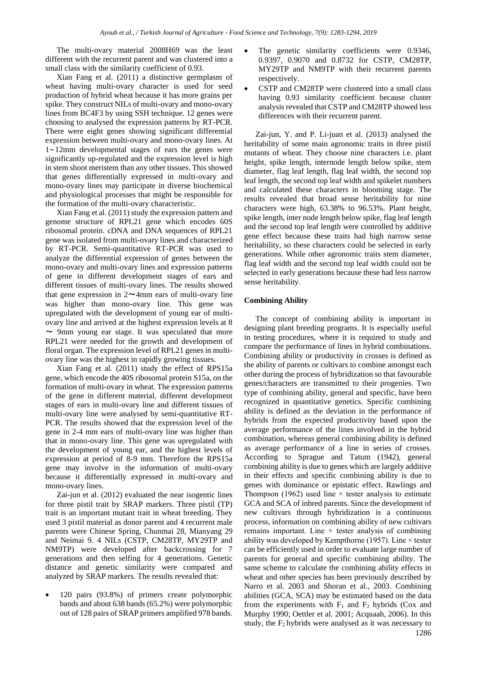The multi-ovary material 2008H69 was the least different with the recurrent parent and was clustered into a small class with the similarity coefficient of 0.93.

Xian Fang et al. (2011) a distinctive germplasm of wheat having multi-ovary character is used for seed production of hybrid wheat because it has more grains per spike. They construct NILs of multi-ovary and mono-ovary lines from BC4F3 by using SSH technique. 12 genes were choosing to analysed the expression patterns by RT-PCR. There were eight genes showing significant differential expression between multi-ovary and mono-ovary lines. At 1∼12mm developmental stages of ears the genes were significantly up-regulated and the expression level is high in stem shoot meristem than any other tissues. This showed that genes differentially expressed in multi-ovary and mono-ovary lines may participate in diverse biochemical and physiological processes that might be responsible for the formation of the multi-ovary characteristic.

Xian Fang et al. (2011) study the expression pattern and genome structure of RPL21 gene which encodes 60S ribosomal protein. cDNA and DNA sequences of RPL21 gene was isolated from multi-ovary lines and characterized by RT-PCR. Semi-quantitative RT-PCR was used to analyze the differential expression of genes between the mono-ovary and multi-ovary lines and expression patterns of gene in different development stages of ears and different tissues of multi-ovary lines. The results showed that gene expression in  $2 \sim 4$ mm ears of multi-ovary line was higher than mono-ovary line. This gene was upregulated with the development of young ear of multiovary line and arrived at the highest expression levels at 8  $\sim$  9mm young ear stage. It was speculated that more RPL21 were needed for the growth and development of floral organ. The expression level of RPL21 genes in multiovary line was the highest in rapidly growing tissues.

Xian Fang et al. (2011) study the effect of RPS15a gene, which encode the 40S ribosomal protein S15a, on the formation of multi-ovary in wheat. The expression patterns of the gene in different material, different development stages of ears in multi-ovary line and different tissues of multi-ovary line were analysed by semi-quantitative RT-PCR. The results showed that the expression level of the gene in 2-4 mm ears of multi-ovary line was higher than that in mono-ovary line. This gene was upregulated with the development of young ear, and the highest levels of expression at period of 8-9 mm. Therefore the RPS15a gene may involve in the information of multi-ovary because it differentially expressed in multi-ovary and mono-ovary lines.

Zai-jun et al. (2012) evaluated the near isogentic lines for three pistil trait by SRAP markers. Three pistil (TP) trait is an important mutant trait in wheat breeding. They used 3 pistil material as donor parent and 4 recurrent male parents were Chinese Spring, Chunmai 28, Mianyang 29 and Neimai 9. 4 NILs (CSTP, CM28TP, MY29TP and NM9TP) were developed after backcrossing for 7 generations and then selfing for 4 generations. Genetic distance and genetic similarity were compared and analyzed by SRAP markers. The results revealed that:

• 120 pairs (93.8%) of primers create polymorphic bands and about 638 bands (65.2%) were polymorphic out of 128 pairs of SRAP primers amplified 978 bands.

- The genetic similarity coefficients were 0.9346, 0.9397, 0.9070 and 0.8732 for CSTP, CM28TP, MY29TP and NM9TP with their recurrent parents respectively.
- CSTP and CM28TP were clustered into a small class having 0.93 similarity coefficient because cluster analysis revealed that CSTP and CM28TP showed less differences with their recurrent parent.

Zai-jun, Y. and P. Li-juan et al. (2013) analysed the heritability of some main agronomic traits in three pistil mutants of wheat. They choose nine characters i.e. plant height, spike length, internode length below spike, stem diameter, flag leaf length, flag leaf width, the second top leaf length, the second top leaf width and spikelet numbers and calculated these characters in blooming stage. The results revealed that broad sense heritability for nine characters were high, 63.38% to 96.53%. Plant height, spike length, inter node length below spike, flag leaf length and the second top leaf length were controlled by additive gene effect because these traits had high narrow sense heritability, so these characters could be selected in early generations. While other agronomic traits stem diameter, flag leaf width and the second top leaf width could not be selected in early generations because these had less narrow sense heritability.

### **Combining Ability**

1286 The concept of combining ability is important in designing plant breeding programs. It is especially useful in testing procedures, where it is required to study and compare the performance of lines in hybrid combinations. Combining ability or productivity in crosses is defined as the ability of parents or cultivars to combine amongst each other during the process of hybridization so that favourable genes/characters are transmitted to their progenies. Two type of combining ability, general and specific, have been recognized in quantitative genetics. Specific combining ability is defined as the deviation in the performance of hybrids from the expected productivity based upon the average performance of the lines involved in the hybrid combination, whereas general combining ability is defined as average performance of a line in series of crosses. According to Sprague and Tatum (1942), general combining ability is due to genes which are largely additive in their effects and specific combining ability is due to genes with dominance or epistatic effect. Rawlings and Thompson (1962) used line  $\times$  tester analysis to estimate GCA and SCA of inbred parents. Since the development of new cultivars through hybridization is a continuous process, information on combining ability of new cultivars remains important. Line  $\times$  tester analysis of combining ability was developed by Kempthorne (1957). Line  $\times$  tester can be efficiently used in order to evaluate large number of parents for general and specific combining ability. The same scheme to calculate the combining ability effects in wheat and other species has been previously described by Narro et al. 2003 and Shoran et al.*,* 2003. Combining abilities (GCA, SCA) may be estimated based on the data from the experiments with  $F_1$  and  $F_2$  hybrids (Cox and Murphy 1990; Oettler et al. 2001; Acquaah, 2006). In this study, the  $F_2$  hybrids were analysed as it was necessary to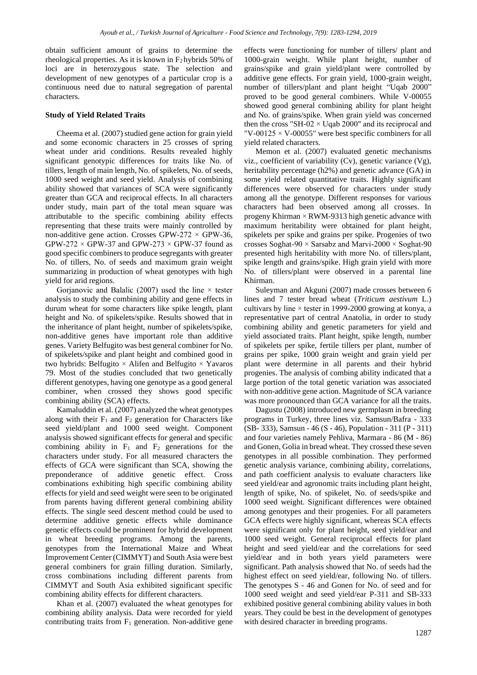obtain sufficient amount of grains to determine the rheological properties. As it is known in  $F_2$  hybrids 50% of loci are in heterozygous state. The selection and development of new genotypes of a particular crop is a continuous need due to natural segregation of parental characters.

#### **Study of Yield Related Traits**

Cheema et al. (2007) studied gene action for grain yield and some economic characters in 25 crosses of spring wheat under arid conditions. Results revealed highly significant genotypic differences for traits like No. of tillers, length of main length, No. of spikelets, No. of seeds, 1000 seed weight and seed yield. Analysis of combining ability showed that variances of SCA were significantly greater than GCA and reciprocal effects. In all characters under study, main part of the total mean square was attributable to the specific combining ability effects representing that these traits were mainly controlled by non-additive gene action. Crosses GPW-272  $\times$  GPW-36, GPW-272  $\times$  GPW-37 and GPW-273  $\times$  GPW-37 found as good specific combiners to produce segregants with greater No. of tillers, No. of seeds and maximum grain weight summarizing in production of wheat genotypes with high yield for arid regions.

Gorjanovic and Balalic (2007) used the line  $\times$  tester analysis to study the combining ability and gene effects in durum wheat for some characters like spike length, plant height and No. of spikelets/spike. Results showed that in the inheritance of plant height, number of spikelets/spike, non-additive genes have important role than additive genes. Variety Belfugito was best general combiner for No. of spikelets/spike and plant height and combined good in two hybrids: Belfugito  $\times$  Alifen and Belfugito  $\times$  Yavaros 79. Most of the studies concluded that two genetically different genotypes, having one genotype as a good general combiner, when crossed they shows good specific combining ability (SCA) effects.

Kamaluddin et al. (2007) analyzed the wheat genotypes along with their  $F_1$  and  $F_2$  generation for Characters like seed yield/plant and 1000 seed weight. Component analysis showed significant effects for general and specific combining ability in  $F_1$  and  $F_2$  generations for the characters under study. For all measured characters the effects of GCA were significant than SCA, showing the preponderance of additive genetic effect. Cross combinations exhibiting high specific combining ability effects for yield and seed weight were seen to be originated from parents having different general combining ability effects. The single seed descent method could be used to determine additive genetic effects while dominance genetic effects could be prominent for hybrid development in wheat breeding programs. Among the parents, genotypes from the International Maize and Wheat Improvement Center (CIMMYT) and South Asia were best general combiners for grain filling duration. Similarly, cross combinations including different parents from CIMMYT and South Asia exhibited significant specific combining ability effects for different characters.

Khan et al. (2007) evaluated the wheat genotypes for combining ability analysis. Data were recorded for yield contributing traits from  $F_1$  generation. Non-additive gene effects were functioning for number of tillers/ plant and 1000-grain weight. While plant height, number of grains/spike and grain yield/plant were controlled by additive gene effects. For grain yield, 1000-grain weight, number of tillers/plant and plant height "Uqab 2000" proved to be good general combiners. While V-00055 showed good general combining ability for plant height and No. of grains/spike. When grain yield was concerned then the cross "SH-02  $\times$  Uqab 2000" and its reciprocal and "V-00125  $\times$  V-00055" were best specific combiners for all yield related characters.

Memon et al. (2007) evaluated genetic mechanisms viz., coefficient of variability (Cv), genetic variance (Vg), heritability percentage (h2%) and genetic advance (GA) in some yield related quantitative traits. Highly significant differences were observed for characters under study among all the genotype. Different responses for various characters had been observed among all crosses. In progeny Khirman  $\times$  RWM-9313 high genetic advance with maximum heritability were obtained for plant height, spikelets per spike and grains per spike. Progenies of two crosses Soghat-90 × Sarsabz and Marvi-2000 × Soghat-90 presented high heritability with more No. of tillers/plant, spike length and grains/spike. High grain yield with more No. of tillers/plant were observed in a parental line Khirman.

Suleyman and Akguni (2007) made crosses between 6 lines and 7 tester bread wheat (*Triticum aestivum* L.) cultivars by line × tester in 1999-2000 growing at konya, a representative part of central Anatolia, in order to study combining ability and genetic parameters for yield and yield associated traits. Plant height, spike length, number of spikelets per spike, fertile tillers per plant, number of grains per spike, 1000 grain weight and grain yield per plant were determine in all parents and their hybrid progenies. The analysis of combing ability indicated that a large portion of the total genetic variation was associated with non-additive gene action. Magnitude of SCA variance was more pronounced than GCA variance for all the traits.

Dagustu (2008) introduced new germplasm in breeding programs in Turkey, three lines viz. Samsun/Bafra - 333 (SB- 333), Samsun - 46 (S - 46), Population - 311 (P - 311) and four varieties namely Pehliva, Marmara - 86 (M - 86) and Gonen, Golia in bread wheat. They crossed these seven genotypes in all possible combination. They performed genetic analysis variance, combining ability, correlations, and path coefficient analysis to evaluate characters like seed yield/ear and agronomic traits including plant height, length of spike, No. of spikelet, No. of seeds/spike and 1000 seed weight. Significant differences were obtained among genotypes and their progenies. For all parameters GCA effects were highly significant, whereas SCA effects were significant only for plant height, seed yield/ear and 1000 seed weight. General reciprocal effects for plant height and seed yield/ear and the correlations for seed yield/ear and in both years yield parameters were significant. Path analysis showed that No. of seeds had the highest effect on seed yield/ear, following No. of tillers. The genotypes S - 46 and Gonen for No. of seed and for 1000 seed weight and seed yield/ear P-311 and SB-333 exhibited positive general combining ability values in both years. They could be best in the development of genotypes with desired character in breeding programs.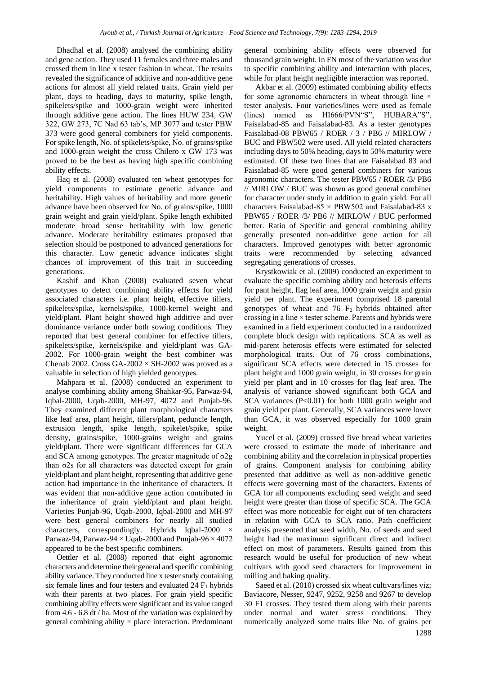Dhadhal et al. (2008) analysed the combining ability and gene action. They used 11 females and three males and crossed them in line x tester fashion in wheat. The results revealed the significance of additive and non-additive gene actions for almost all yield related traits. Grain yield per plant, days to heading, days to maturity, spike length, spikelets/spike and 1000-grain weight were inherited through additive gene action. The lines HUW 234, GW 322, GW 273, 7C Nad 63 tab's, MP 3077 and tester PBW 373 were good general combiners for yield components. For spike length, No. of spikelets/spike, No. of grains/spike and 1000-grain weight the cross Chilero x GW 173 was proved to be the best as having high specific combining ability effects.

Haq et al. (2008) evaluated ten wheat genotypes for yield components to estimate genetic advance and heritability. High values of heritability and more genetic advance have been observed for No. of grains/spike, 1000 grain weight and grain yield/plant. Spike length exhibited moderate broad sense heritability with low genetic advance. Moderate heritability estimates proposed that selection should be postponed to advanced generations for this character. Low genetic advance indicates slight chances of improvement of this trait in succeeding generations.

Kashif and Khan (2008) evaluated seven wheat genotypes to detect combining ability effects for yield associated characters i.e. plant height, effective tillers, spikelets/spike, kernels/spike, 1000-kernel weight and yield/plant. Plant height showed high additive and over dominance variance under both sowing conditions. They reported that best general combiner for effective tillers, spikelets/spike, kernels/spike and yield/plant was GA-2002. For 1000-grain weight the best combiner was Chenab 2002. Cross  $GA-2002 \times SH-2002$  was proved as a valuable in selection of high yielded genotypes.

Mahpara et al. (2008) conducted an experiment to analyse combining ability among Shahkar-95, Parwaz-94, Iqbal-2000, Uqab-2000, MH-97, 4072 and Punjab-96. They examined different plant morphological characters like leaf area, plant height, tillers/plant, peduncle length, extrusion length, spike length, spikelet/spike, spike density, grains/spike, 1000-grains weight and grains yield/plant. There were significant differences for GCA and SCA among genotypes. The greater magnitude of  $σ2g$ than σ2s for all characters was detected except for grain yield/plant and plant height, representing that additive gene action had importance in the inheritance of characters. It was evident that non-additive gene action contributed in the inheritance of grain yield/plant and plant height. Varieties Punjab-96, Uqab-2000, Iqbal-2000 and MH-97 were best general combiners for nearly all studied characters, correspondingly. Hybrids Iqbal-2000 × Parwaz-94, Parwaz-94  $\times$  Uqab-2000 and Punjab-96  $\times$  4072 appeared to be the best specific combiners.

Oettler et al. (2008) reported that eight agronomic characters and determine their general and specific combining ability variance. They conducted line x tester study containing six female lines and four testers and evaluated  $24 \text{ F}_1$  hybrids with their parents at two places. For grain yield specific combining ability effects were significant and its value ranged from 4.6 - 6.8 dt / ha. Most of the variation was explained by general combining ability  $\times$  place interaction. Predominant general combining ability effects were observed for thousand grain weight. In FN most of the variation was due to specific combining ability and interaction with places, while for plant height negligible interaction was reported.

Akbar et al. (2009) estimated combining ability effects for some agronomic characters in wheat through line  $\times$ tester analysis. Four varieties/lines were used as female (lines) named as HI666/PVN"S", HUBARA"S", Faisalabad-85 and Faisalabad-83. As a tester genotypes Faisalabad-08 PBW65 / ROER / 3 / PB6 // MIRLOW / BUC and PBW502 were used. All yield related characters including days to 50% heading, days to 50% maturity were estimated. Of these two lines that are Faisalabad 83 and Faisalabad-85 were good general combiners for various agronomic characters. The tester PBW65 / ROER /3/ PB6 // MIRLOW / BUC was shown as good general combiner for character under study in addition to grain yield. For all characters Faisalabad-85  $\times$  PBW502 and Faisalabad-83 x PBW65 / ROER /3/ PB6 // MIRLOW / BUC performed better. Ratio of Specific and general combining ability generally presented non-additive gene action for all characters. Improved genotypes with better agronomic traits were recommended by selecting advanced segregating generations of crosses.

Krystkowiak et al. (2009) conducted an experiment to evaluate the specific combing ability and heterosis effects for pant height, flag leaf area, 1000 grain weight and grain yield per plant. The experiment comprised 18 parental genotypes of wheat and  $76$   $F_2$  hybrids obtained after crossing in a line × tester scheme. Parents and hybrids were examined in a field experiment conducted in a randomized complete block design with replications. SCA as well as mid-parent heterosis effects were estimated for selected morphological traits. Out of 76 cross combinations, significant SCA effects were detected in 15 crosses for plant height and 1000 grain weight, in 30 crosses for grain yield per plant and in 10 crosses for flag leaf area. The analysis of variance showed significant both GCA and SCA variances (P<0.01) for both 1000 grain weight and grain yield per plant. Generally, SCA variances were lower than GCA, it was observed especially for 1000 grain weight.

Yucel et al. (2009) crossed five bread wheat varieties were crossed to estimate the mode of inheritance and combining ability and the correlation in physical properties of grains. Component analysis for combining ability presented that additive as well as non-additive genetic effects were governing most of the characters. Extents of GCA for all components excluding seed weight and seed height were greater than those of specific SCA. The GCA effect was more noticeable for eight out of ten characters in relation with GCA to SCA ratio. Path coefficient analysis presented that seed width, No. of seeds and seed height had the maximum significant direct and indirect effect on most of parameters. Results gained from this research would be useful for production of new wheat cultivars with good seed characters for improvement in milling and baking quality.

Saeed et al. (2010) crossed six wheat cultivars/lines viz; Baviacore, Nesser, 9247, 9252, 9258 and 9267 to develop 30 F1 crosses. They tested them along with their parents under normal and water stress conditions. They numerically analyzed some traits like No. of grains per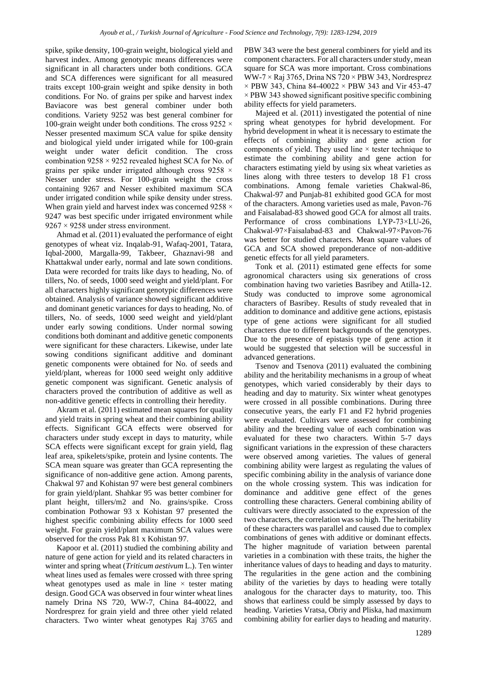spike, spike density, 100-grain weight, biological yield and harvest index. Among genotypic means differences were significant in all characters under both conditions. GCA and SCA differences were significant for all measured traits except 100-grain weight and spike density in both conditions. For No. of grains per spike and harvest index Baviacore was best general combiner under both conditions. Variety 9252 was best general combiner for 100-grain weight under both conditions. The cross  $9252 \times$ Nesser presented maximum SCA value for spike density and biological yield under irrigated while for 100-grain weight under water deficit condition. The cross combination  $9258 \times 9252$  revealed highest SCA for No. of grains per spike under irrigated although cross 9258 × Nesser under stress. For 100-grain weight the cross containing 9267 and Nesser exhibited maximum SCA under irrigated condition while spike density under stress. When grain yield and harvest index was concerned  $9258 \times$ 9247 was best specific under irrigated environment while  $9267 \times 9258$  under stress environment.

Ahmad et al. (2011) evaluated the performance of eight genotypes of wheat viz. Inqalab-91, Wafaq-2001, Tatara, Iqbal-2000, Margalla-99, Takbeer, Ghaznavi-98 and Khattakwal under early, normal and late sown conditions. Data were recorded for traits like days to heading, No. of tillers, No. of seeds, 1000 seed weight and yield/plant. For all characters highly significant genotypic differences were obtained. Analysis of variance showed significant additive and dominant genetic variances for days to heading, No. of tillers, No. of seeds, 1000 seed weight and yield/plant under early sowing conditions. Under normal sowing conditions both dominant and additive genetic components were significant for these characters. Likewise, under late sowing conditions significant additive and dominant genetic components were obtained for No. of seeds and yield/plant, whereas for 1000 seed weight only additive genetic component was significant. Genetic analysis of characters proved the contribution of additive as well as non-additive genetic effects in controlling their heredity.

Akram et al. (2011) estimated mean squares for quality and yield traits in spring wheat and their combining ability effects. Significant GCA effects were observed for characters under study except in days to maturity, while SCA effects were significant except for grain yield, flag leaf area, spikelets/spike, protein and lysine contents. The SCA mean square was greater than GCA representing the significance of non-additive gene action. Among parents, Chakwal 97 and Kohistan 97 were best general combiners for grain yield/plant. Shahkar 95 was better combiner for plant height, tillers/m2 and No. grains/spike. Cross combination Pothowar 93 x Kohistan 97 presented the highest specific combining ability effects for 1000 seed weight. For grain yield/plant maximum SCA values were observed for the cross Pak 81 x Kohistan 97.

Kapoor et al. (2011) studied the combining ability and nature of gene action for yield and its related characters in winter and spring wheat (*Triticum aestivum* L.). Ten winter wheat lines used as females were crossed with three spring wheat genotypes used as male in line  $\times$  tester mating design. Good GCA was observed in four winter wheat lines namely Drina NS 720, WW-7, China 84-40022, and Nordresprez for grain yield and three other yield related characters. Two winter wheat genotypes Raj 3765 and PBW 343 were the best general combiners for yield and its component characters. For all characters under study, mean square for SCA was more important. Cross combinations WW-7  $\times$  Raj 3765, Drina NS 720  $\times$  PBW 343, Nordresprez  $\times$  PBW 343, China 84-40022  $\times$  PBW 343 and Vir 453-47  $\times$  PBW 343 showed significant positive specific combining ability effects for yield parameters.

Majeed et al. (2011) investigated the potential of nine spring wheat genotypes for hybrid development. For hybrid development in wheat it is necessary to estimate the effects of combining ability and gene action for components of yield. They used line × tester technique to estimate the combining ability and gene action for characters estimating yield by using six wheat varieties as lines along with three testers to develop 18 F1 cross combinations. Among female varieties Chakwal-86, Chakwal-97 and Punjab-81 exhibited good GCA for most of the characters. Among varieties used as male, Pavon-76 and Faisalabad-83 showed good GCA for almost all traits. Performance of cross combinations LYP-73×LU-26, Chakwal-97×Faisalabad-83 and Chakwal-97×Pavon-76 was better for studied characters. Mean square values of GCA and SCA showed preponderance of non-additive genetic effects for all yield parameters.

Tonk et al. (2011) estimated gene effects for some agronomical characters using six generations of cross combination having two varieties Basribey and Atilla-12. Study was conducted to improve some agronomical characters of Basribey. Results of study revealed that in addition to dominance and additive gene actions, epistasis type of gene actions were significant for all studied characters due to different backgrounds of the genotypes. Due to the presence of epistasis type of gene action it would be suggested that selection will be successful in advanced generations.

Tsenov and Tsenova (2011) evaluated the combining ability and the heritability mechanisms in a group of wheat genotypes, which varied considerably by their days to heading and day to maturity. Six winter wheat genotypes were crossed in all possible combinations. During three consecutive years, the early F1 and F2 hybrid progenies were evaluated. Cultivars were assessed for combining ability and the breeding value of each combination was evaluated for these two characters. Within 5-7 days significant variations in the expression of these characters were observed among varieties. The values of general combining ability were largest as regulating the values of specific combining ability in the analysis of variance done on the whole crossing system. This was indication for dominance and additive gene effect of the genes controlling these characters. General combining ability of cultivars were directly associated to the expression of the two characters, the correlation was so high. The heritability of these characters was parallel and caused due to complex combinations of genes with additive or dominant effects. The higher magnitude of variation between parental varieties in a combination with these traits, the higher the inheritance values of days to heading and days to maturity. The regularities in the gene action and the combining ability of the varieties by days to heading were totally analogous for the character days to maturity, too. This shows that earliness could be simply assessed by days to heading. Varieties Vratsa, Obriy and Pliska, had maximum combining ability for earlier days to heading and maturity.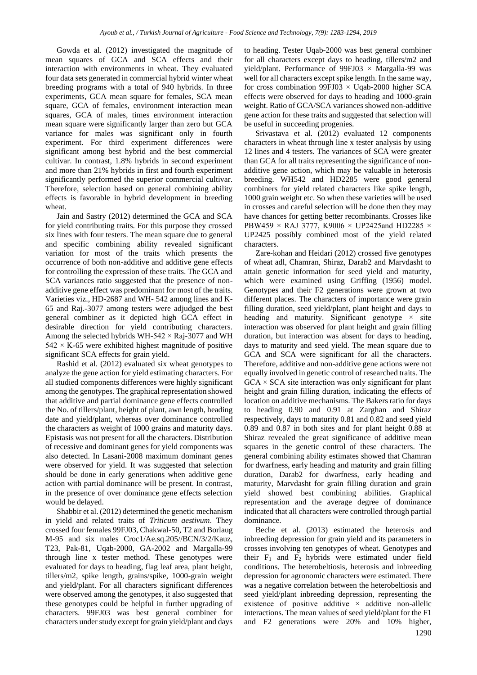Gowda et al. (2012) investigated the magnitude of mean squares of GCA and SCA effects and their interaction with environments in wheat. They evaluated four data sets generated in commercial hybrid winter wheat breeding programs with a total of 940 hybrids. In three experiments, GCA mean square for females, SCA mean square, GCA of females, environment interaction mean squares, GCA of males, times environment interaction mean square were significantly larger than zero but GCA variance for males was significant only in fourth experiment. For third experiment differences were significant among best hybrid and the best commercial cultivar. In contrast, 1.8% hybrids in second experiment and more than 21% hybrids in first and fourth experiment significantly performed the superior commercial cultivar. Therefore, selection based on general combining ability effects is favorable in hybrid development in breeding wheat.

Jain and Sastry (2012) determined the GCA and SCA for yield contributing traits. For this purpose they crossed six lines with four testers. The mean square due to general and specific combining ability revealed significant variation for most of the traits which presents the occurrence of both non-additive and additive gene effects for controlling the expression of these traits. The GCA and SCA variances ratio suggested that the presence of nonadditive gene effect was predominant for most of the traits. Varieties viz., HD-2687 and WH- 542 among lines and K-65 and Raj.-3077 among testers were adjudged the best general combiner as it depicted high GCA effect in desirable direction for yield contributing characters. Among the selected hybrids WH-542  $\times$  Raj-3077 and WH  $542 \times K$ -65 were exhibited highest magnitude of positive significant SCA effects for grain yield.

Rashid et al. (2012) evaluated six wheat genotypes to analyze the gene action for yield estimating characters. For all studied components differences were highly significant among the genotypes. The graphical representation showed that additive and partial dominance gene effects controlled the No. of tillers/plant, height of plant, awn length, heading date and yield/plant, whereas over dominance controlled the characters as weight of 1000 grains and maturity days. Epistasis was not present for all the characters. Distribution of recessive and dominant genes for yield components was also detected. In Lasani-2008 maximum dominant genes were observed for yield. It was suggested that selection should be done in early generations when additive gene action with partial dominance will be present. In contrast, in the presence of over dominance gene effects selection would be delayed.

Shabbir et al. (2012) determined the genetic mechanism in yield and related traits of *Triticum aestivum*. They crossed four females 99FJ03, Chakwal-50, T2 and Borlaug M-95 and six males Croc1/Ae.sq.205//BCN/3/2/Kauz, T23, Pak-81, Uqab-2000, GA-2002 and Margalla-99 through line x tester method. These genotypes were evaluated for days to heading, flag leaf area, plant height, tillers/m2, spike length, grains/spike, 1000-grain weight and yield/plant. For all characters significant differences were observed among the genotypes, it also suggested that these genotypes could be helpful in further upgrading of characters. 99FJ03 was best general combiner for characters under study except for grain yield/plant and days to heading. Tester Uqab-2000 was best general combiner for all characters except days to heading, tillers/m2 and yield/plant. Performance of  $99FJ03 \times Margalla-99$  was well for all characters except spike length. In the same way, for cross combination 99FJ03  $\times$  Uqab-2000 higher SCA effects were observed for days to heading and 1000-grain weight. Ratio of GCA/SCA variances showed non-additive gene action for these traits and suggested that selection will be useful in succeeding progenies.

Srivastava et al. (2012) evaluated 12 components characters in wheat through line x tester analysis by using 12 lines and 4 testers. The variances of SCA were greater than GCA for all traits representing the significance of nonadditive gene action, which may be valuable in heterosis breeding. WH542 and HD2285 were good general combiners for yield related characters like spike length, 1000 grain weight etc. So when these varieties will be used in crosses and careful selection will be done then they may have chances for getting better recombinants. Crosses like PBW459 × RAJ 3777, K9006 × UP2425and HD2285 × UP2425 possibly combined most of the yield related characters.

Zare-kohan and Heidari (2012) crossed five genotypes of wheat adl, Chamran, Shiraz, Darab2 and Marvdasht to attain genetic information for seed yield and maturity, which were examined using Griffing (1956) model. Genotypes and their F2 generations were grown at two different places. The characters of importance were grain filling duration, seed yield/plant, plant height and days to heading and maturity. Significant genotype × site interaction was observed for plant height and grain filling duration, but interaction was absent for days to heading, days to maturity and seed yield. The mean square due to GCA and SCA were significant for all the characters. Therefore, additive and non-additive gene actions were not equally involved in genetic control of researched traits. The  $GCA \times SCA$  site interaction was only significant for plant height and grain filling duration, indicating the effects of location on additive mechanisms. The Bakers ratio for days to heading 0.90 and 0.91 at Zarghan and Shiraz respectively, days to maturity 0.81 and 0.82 and seed yield 0.89 and 0.87 in both sites and for plant height 0.88 at Shiraz revealed the great significance of additive mean squares in the genetic control of these characters. The general combining ability estimates showed that Chamran for dwarfness, early heading and maturity and grain filling duration, Darab2 for dwarfness, early heading and maturity, Marvdasht for grain filling duration and grain yield showed best combining abilities. Graphical representation and the average degree of dominance indicated that all characters were controlled through partial dominance.

Beche et al. (2013) estimated the heterosis and inbreeding depression for grain yield and its parameters in crosses involving ten genotypes of wheat. Genotypes and their  $F_1$  and  $F_2$  hybrids were estimated under field conditions. The heterobeltiosis, heterosis and inbreeding depression for agronomic characters were estimated. There was a negative correlation between the heterobeltiosis and seed yield/plant inbreeding depression, representing the existence of positive additive  $\times$  additive non-allelic interactions. The mean values of seed yield/plant for the F1 and F2 generations were 20% and 10% higher,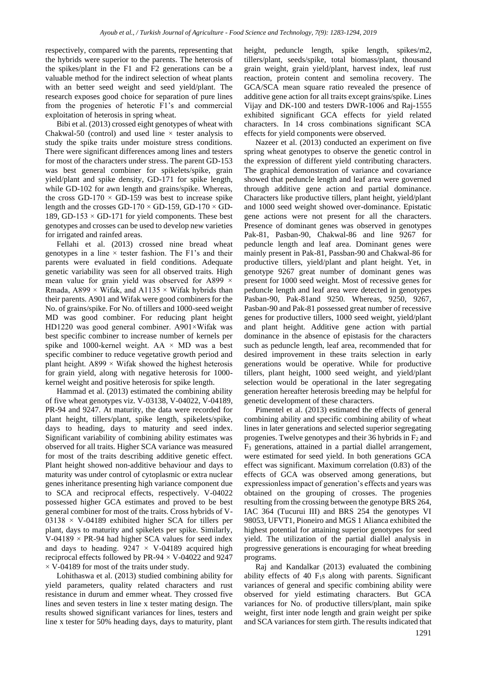respectively, compared with the parents, representing that the hybrids were superior to the parents. The heterosis of the spikes/plant in the F1 and F2 generations can be a valuable method for the indirect selection of wheat plants with an better seed weight and seed yield/plant. The research exposes good choice for separation of pure lines from the progenies of heterotic F1's and commercial exploitation of heterosis in spring wheat.

Bibi et al. (2013) crossed eight genotypes of wheat with Chakwal-50 (control) and used line  $\times$  tester analysis to study the spike traits under moisture stress conditions. There were significant differences among lines and testers for most of the characters under stress. The parent GD-153 was best general combiner for spikelets/spike, grain yield/plant and spike density, GD-171 for spike length, while GD-102 for awn length and grains/spike. Whereas, the cross GD-170  $\times$  GD-159 was best to increase spike length and the crosses GD-170  $\times$  GD-159, GD-170  $\times$  GD-189, GD-153  $\times$  GD-171 for yield components. These best genotypes and crosses can be used to develop new varieties for irrigated and rainfed areas.

Fellahi et al. (2013) crossed nine bread wheat genotypes in a line  $\times$  tester fashion. The F1's and their parents were evaluated in field conditions. Adequate genetic variability was seen for all observed traits. High mean value for grain yield was observed for A899  $\times$ Rmada, A899  $\times$  Wifak, and A1135  $\times$  Wifak hybrids than their parents. A901 and Wifak were good combiners for the No. of grains/spike. For No. of tillers and 1000-seed weight MD was good combiner. For reducing plant height HD1220 was good general combiner. A901×Wifak was best specific combiner to increase number of kernels per spike and 1000-kernel weight. AA  $\times$  MD was a best specific combiner to reduce vegetative growth period and plant height. A899  $\times$  Wifak showed the highest heterosis for grain yield, along with negative heterosis for 1000 kernel weight and positive heterosis for spike length.

Hammad et al. (2013) estimated the combining ability of five wheat genotypes viz. V-03138, V-04022, V-04189, PR-94 and 9247. At maturity, the data were recorded for plant height, tillers/plant, spike length, spikelets/spike, days to heading, days to maturity and seed index. Significant variability of combining ability estimates was observed for all traits. Higher SCA variance was measured for most of the traits describing additive genetic effect. Plant height showed non-additive behaviour and days to maturity was under control of cytoplasmic or extra nuclear genes inheritance presenting high variance component due to SCA and reciprocal effects, respectively. V-04022 possessed higher GCA estimates and proved to be best general combiner for most of the traits. Cross hybrids of V-03138  $\times$  V-04189 exhibited higher SCA for tillers per plant, days to maturity and spikelets per spike. Similarly,  $V-04189 \times PR-94$  had higher SCA values for seed index and days to heading.  $9247 \times V$ -04189 acquired high reciprocal effects followed by PR-94  $\times$  V-04022 and 9247  $\times$  V-04189 for most of the traits under study.

Lohithaswa et al. (2013) studied combining ability for yield parameters, quality related characters and rust resistance in durum and emmer wheat. They crossed five lines and seven testers in line x tester mating design. The results showed significant variances for lines, testers and line x tester for 50% heading days, days to maturity, plant height, peduncle length, spike length, spikes/m2, tillers/plant, seeds/spike, total biomass/plant, thousand grain weight, grain yield/plant, harvest index, leaf rust reaction, protein content and semolina recovery. The GCA/SCA mean square ratio revealed the presence of additive gene action for all traits except grains/spike. Lines Vijay and DK-100 and testers DWR-1006 and Raj-1555 exhibited significant GCA effects for yield related characters. In 14 cross combinations significant SCA effects for yield components were observed.

Nazeer et al. (2013) conducted an experiment on five spring wheat genotypes to observe the genetic control in the expression of different yield contributing characters. The graphical demonstration of variance and covariance showed that peduncle length and leaf area were governed through additive gene action and partial dominance. Characters like productive tillers, plant height, yield/plant and 1000 seed weight showed over-dominance. Epistatic gene actions were not present for all the characters. Presence of dominant genes was observed in genotypes Pak-81, Pasban-90, Chakwal-86 and line 9267 for peduncle length and leaf area. Dominant genes were mainly present in Pak-81, Passban-90 and Chakwal-86 for productive tillers, yield/plant and plant height. Yet, in genotype 9267 great number of dominant genes was present for 1000 seed weight. Most of recessive genes for peduncle length and leaf area were detected in genotypes Pasban-90, Pak-81and 9250. Whereas, 9250, 9267, Pasban-90 and Pak-81 possessed great number of recessive genes for productive tillers, 1000 seed weight, yield/plant and plant height. Additive gene action with partial dominance in the absence of epistasis for the characters such as peduncle length, leaf area, recommended that for desired improvement in these traits selection in early generations would be operative. While for productive tillers, plant height, 1000 seed weight, and yield/plant selection would be operational in the later segregating generation hereafter heterosis breeding may be helpful for genetic development of these characters.

Pimentel et al. (2013) estimated the effects of general combining ability and specific combining ability of wheat lines in later generations and selected superior segregating progenies. Twelve genotypes and their 36 hybrids in  $F_2$  and F<sup>3</sup> generations, attained in a partial diallel arrangement, were estimated for seed yield. In both generations GCA effect was significant. Maximum correlation (0.83) of the effects of GCA was observed among generations, but expressionless impact of generation's effects and years was obtained on the grouping of crosses. The progenies resulting from the crossing between the genotype BRS 264, IAC 364 (Tucurui III) and BRS 254 the genotypes VI 98053, UFVT1, Pioneiro and MGS 1 Alianca exhibited the highest potential for attaining superior genotypes for seed yield. The utilization of the partial diallel analysis in progressive generations is encouraging for wheat breeding programs.

Raj and Kandalkar (2013) evaluated the combining ability effects of 40  $F<sub>1</sub>s$  along with parents. Significant variances of general and specific combining ability were observed for yield estimating characters. But GCA variances for No. of productive tillers/plant, main spike weight, first inter node length and grain weight per spike and SCA variances for stem girth. The results indicated that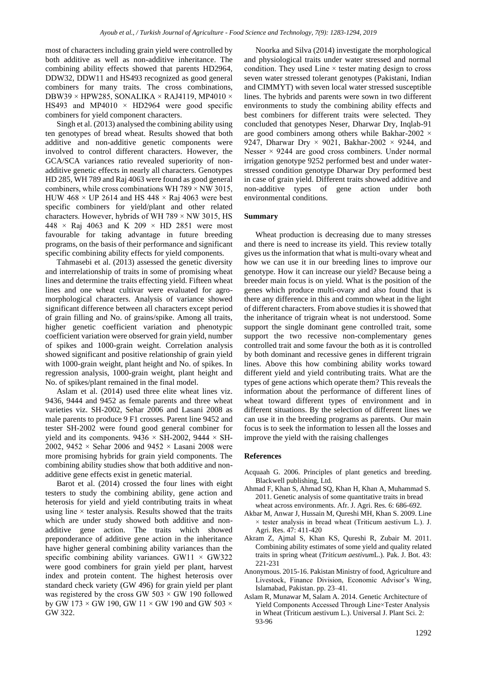most of characters including grain yield were controlled by both additive as well as non-additive inheritance. The combining ability effects showed that parents HD2964, DDW32, DDW11 and HS493 recognized as good general combiners for many traits. The cross combinations, DBW39 × HPW285, SONALIKA × RAJ4119, MP4010 × HS493 and MP4010  $\times$  HD2964 were good specific combiners for yield component characters.

Singh et al. (2013) analysed the combining ability using ten genotypes of bread wheat. Results showed that both additive and non-additive genetic components were involved to control different characters. However, the GCA/SCA variances ratio revealed superiority of nonadditive genetic effects in nearly all characters. Genotypes HD 285, WH 789 and Raj 4063 were found as good general combiners, while cross combinations WH  $789 \times NW$  3015, HUW 468  $\times$  UP 2614 and HS 448  $\times$  Raj 4063 were best specific combiners for yield/plant and other related characters. However, hybrids of WH 789 × NW 3015, HS 448  $\times$  Raj 4063 and K 209  $\times$  HD 2851 were most favourable for taking advantage in future breeding programs, on the basis of their performance and significant specific combining ability effects for yield components.

Tahmasebi et al. (2013) assessed the genetic diversity and interrelationship of traits in some of promising wheat lines and determine the traits effecting yield. Fifteen wheat lines and one wheat cultivar were evaluated for agromorphological characters. Analysis of variance showed significant difference between all characters except period of grain filling and No. of grains/spike. Among all traits, higher genetic coefficient variation and phenotypic coefficient variation were observed for grain yield, number of spikes and 1000-grain weight. Correlation analysis showed significant and positive relationship of grain yield with 1000-grain weight, plant height and No. of spikes. In regression analysis, 1000-grain weight, plant height and No. of spikes/plant remained in the final model.

Aslam et al. (2014) used three elite wheat lines viz. 9436, 9444 and 9452 as female parents and three wheat varieties viz. SH-2002, Sehar 2006 and Lasani 2008 as male parents to produce 9 F1 crosses. Parent line 9452 and tester SH-2002 were found good general combiner for yield and its components.  $9436 \times$  SH-2002,  $9444 \times$  SH-2002, 9452  $\times$  Sehar 2006 and 9452  $\times$  Lasani 2008 were more promising hybrids for grain yield components. The combining ability studies show that both additive and nonadditive gene effects exist in genetic material.

Barot et al. (2014) crossed the four lines with eight testers to study the combining ability, gene action and heterosis for yield and yield contributing traits in wheat using line  $\times$  tester analysis. Results showed that the traits which are under study showed both additive and nonadditive gene action. The traits which showed preponderance of additive gene action in the inheritance have higher general combining ability variances than the specific combining ability variances. GW11  $\times$  GW322 were good combiners for grain yield per plant, harvest index and protein content. The highest heterosis over standard check variety (GW 496) for grain yield per plant was registered by the cross GW  $503 \times$  GW 190 followed by GW 173  $\times$  GW 190, GW 11  $\times$  GW 190 and GW 503  $\times$ GW 322.

Noorka and Silva (2014) investigate the morphological and physiological traits under water stressed and normal condition. They used Line  $\times$  tester mating design to cross seven water stressed tolerant genotypes (Pakistani, Indian and CIMMYT) with seven local water stressed susceptible lines. The hybrids and parents were sown in two different environments to study the combining ability effects and best combiners for different traits were selected. They concluded that genotypes Neser, Dharwar Dry, Inqlab-91 are good combiners among others while Bakhar-2002 × 9247, Dharwar Dry  $\times$  9021, Bakhar-2002  $\times$  9244, and Nesser  $\times$  9244 are good cross combiners. Under normal irrigation genotype 9252 performed best and under waterstressed condition genotype Dharwar Dry performed best in case of grain yield. Different traits showed additive and non-additive types of gene action under both environmental conditions.

### **Summary**

Wheat production is decreasing due to many stresses and there is need to increase its yield. This review totally gives us the information that what is multi-ovary wheat and how we can use it in our breeding lines to improve our genotype. How it can increase our yield? Because being a breeder main focus is on yield. What is the position of the genes which produce multi-ovary and also found that is there any difference in this and common wheat in the light of different characters. From above studies it is showed that the inheritance of trigrain wheat is not understood. Some support the single dominant gene controlled trait, some support the two recessive non-complementary genes controlled trait and some favour the both as it is controlled by both dominant and recessive genes in different trigrain lines. Above this how combining ability works toward different yield and yield contributing traits. What are the types of gene actions which operate them? This reveals the information about the performance of different lines of wheat toward different types of environment and in different situations. By the selection of different lines we can use it in the breeding programs as parents. Our main focus is to seek the information to lessen all the losses and improve the yield with the raising challenges

#### **References**

- Acquaah G. 2006. Principles of plant genetics and breeding. Blackwell publishing, Ltd.
- Ahmad F, Khan S, Ahmad SQ, Khan H, Khan A, Muhammad S. 2011. Genetic analysis of some quantitative traits in bread wheat across environments. Afr. J. Agri. Res. 6: 686-692.
- Akbar M, Anwar J, Hussain M, Qureshi MH, Khan S. 2009. Line  $\times$  tester analysis in bread wheat (Triticum aestivum L.). J. Agri. Res. 47: 411-420
- Akram Z, Ajmal S, Khan KS, Qureshi R, Zubair M. 2011. Combining ability estimates of some yield and quality related traits in spring wheat (*Triticum aestivum*L.). Pak. J. Bot. 43: 221-231
- Anonymous. 2015-16. Pakistan Ministry of food, Agriculture and Livestock, Finance Division, Economic Advisor's Wing, Islamabad, Pakistan. pp. 23–41.
- Aslam R, Munawar M, Salam A. 2014. Genetic Architecture of Yield Components Accessed Through Line×Tester Analysis in Wheat (Triticum aestivum L.). Universal J. Plant Sci. 2: 93-96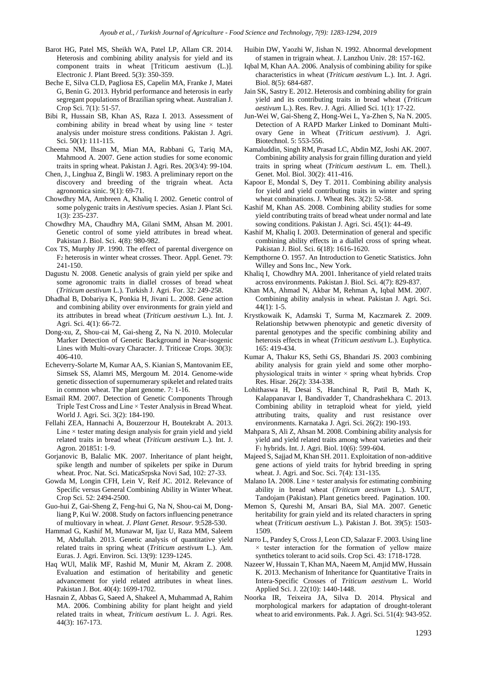- Barot HG, Patel MS, Sheikh WA, Patel LP, Allam CR. 2014. Heterosis and combining ability analysis for yield and its component traits in wheat [Triticum aestivum (L.)]. Electronic J. Plant Breed. 5(3): 350-359.
- Beche E, Silva CLD, Pagliosa ES, Capelin MA, Franke J, Matei G, Benin G. 2013. Hybrid performance and heterosis in early segregant populations of Brazilian spring wheat. Australian J. Crop Sci. 7(1): 51-57.
- Bibi R, Hussain SB, Khan AS, Raza I. 2013. Assessment of combining ability in bread wheat by using line  $\times$  tester analysis under moisture stress conditions. Pakistan J. Agri. Sci. 50(1): 111-115.
- Cheema NM, Ihsan M, Mian MA, Rabbani G, Tariq MA, Mahmood A. 2007. Gene action studies for some economic traits in spring wheat. Pakistan J. Agri. Res. 20(3/4): 99-104.
- Chen, J., Linghua Z, Bingli W. 1983. A preliminary report on the discovery and breeding of the trigrain wheat. Acta agronomica sinic. 9(1): 69-71.
- Chowdhry MA, Ambreen A, Khaliq I. 2002. Genetic control of some polygenic traits in *Aestivum* species. Asian J. Plant Sci. 1(3): 235-237.
- Chowdhry MA, Chaudhry MA, Gilani SMM, Ahsan M. 2001. Genetic control of some yield attributes in bread wheat. Pakistan J. Biol. Sci. 4(8): 980-982.
- Cox TS, Murphy JP. 1990. The effect of parental divergence on F<sup>2</sup> heterosis in winter wheat crosses. Theor. Appl. Genet. 79: 241-150.
- Dagustu N. 2008. Genetic analysis of grain yield per spike and some agronomic traits in diallel crosses of bread wheat (*Triticum aestivum* L.). Turkish J. Agri. For. 32: 249-258.
- Dhadhal B, Dobariya K, Ponkia H, Jivani L. 2008. Gene action and combining ability over environments for grain yield and its attributes in bread wheat (*Triticum aestivum* L.). Int. J. Agri. Sci. 4(1): 66-72.
- Dong-xu, Z, Shou-cai M, Gai-sheng Z, Na N. 2010. Molecular Marker Detection of Genetic Background in Near-isogenic Lines with Multi-ovary Character. J. Triticeae Crops. 30(3): 406-410.
- Echeverry-Solarte M, Kumar AA, S. Kianian S, Mantovanim EE, Simsek SS, Alamri MS, Mergoum M. 2014. Genome-wide genetic dissection of supernumerary spikelet and related traits in common wheat. The plant genome. 7: 1-16.
- Esmail RM. 2007. Detection of Genetic Components Through Triple Test Cross and Line × Tester Analysis in Bread Wheat. World J. Agri. Sci. 3(2): 184-190.
- Fellahi ZEA, Hannachi A, Bouzerzour H, Boutekrabt A. 2013. Line  $\times$  tester mating design analysis for grain yield and yield related traits in bread wheat (*Triticum aestivum* L.). Int. J. Agron. 201851: 1-9.
- Gorjanovic B, Balalic MK. 2007. Inheritance of plant height, spike length and number of spikelets per spike in Durum wheat. Proc. Nat. Sci. MaticaSrpska Novi Sad, 102: 27-33.
- Gowda M, Longin CFH, Lein V, Reif JC. 2012. Relevance of Specific versus General Combining Ability in Winter Wheat. Crop Sci. 52: 2494-2500.
- Guo-hui Z, Gai-Sheng Z, Feng-hui G, Na N, Shou-cai M, Dongliang P, Kui W. 2008. Study on factors influencing penetrance of multiovary in wheat. *J. Plant Genet. Resour.* 9:528-530.
- Hammad G, Kashif M, Munawar M, Ijaz U, Raza MM, Saleem M, Abdullah. 2013. Genetic analysis of quantitative yield related traits in spring wheat (*Triticum aestivum* L.). Am. Euras. J. Agri. Environ. Sci. 13(9): 1239-1245.
- Haq WUl, Malik MF, Rashid M, Munir M, Akram Z. 2008. Evaluation and estimation of heritability and genetic advancement for yield related attributes in wheat lines. Pakistan J. Bot. 40(4): 1699-1702.
- Hasnain Z, Abbas G, Saeed A, Shakeel A, Muhammad A, Rahim MA. 2006. Combining ability for plant height and yield related traits in wheat, *Triticum aestivum* L. J. Agri. Res. 44(3): 167-173.
- Huibin DW, Yaozhi W, Jishan N. 1992. Abnormal development of stamen in trigrain wheat. J. Lanzhou Univ. 28: 157-162.
- Iqbal M, Khan AA. 2006. Analysis of combining ability for spike characteristics in wheat (*Triticum aestivum* L.). Int. J. Agri. Biol. 8(5): 684-687.
- Jain SK, Sastry E. 2012. Heterosis and combining ability for grain yield and its contributing traits in bread wheat (*Triticum aestivum* L.). Res. Rev. J. Agri. Allied Sci. 1(1): 17-22.
- Jun-Wei W, Gai-Sheng Z, Hong-Wei L, Ya-Zhen S, Na N. 2005. Detection of A RAPD Marker Linked to Dominant Multiovary Gene in Wheat (*Triticum aestivum*). J. Agri. Biotechnol. 5: 553-556.
- Kamaluddin, Singh RM, Prasad LC, Abdin MZ, Joshi AK. 2007. Combining ability analysis for grain filling duration and yield traits in spring wheat (*Triticum aestivum* L. em. Thell.). Genet. Mol. Biol. 30(2): 411-416.
- Kapoor E, Mondal S, Dey T. 2011. Combining ability analysis for yield and yield contributing traits in winter and spring wheat combinations. J. Wheat Res. 3(2): 52-58.
- Kashif M, Khan AS. 2008. Combining ability studies for some yield contributing traits of bread wheat under normal and late sowing conditions. Pakistan J. Agri. Sci. 45(1): 44-49.
- Kashif M, Khaliq I. 2003. Determination of general and specific combining ability effects in a diallel cross of spring wheat. Pakistan J. Biol. Sci. 6(18): 1616-1620.
- Kempthorne O. 1957. An Introduction to Genetic Statistics. John Willey and Sons Inc., New York.
- Khaliq I, Chowdhry MA. 2001. Inheritance of yield related traits across environments. Pakistan J. Biol. Sci. 4(7): 829-837.
- Khan MA, Ahmad N, Akbar M, Rehman A, Iqbal MM. 2007. Combining ability analysis in wheat. Pakistan J. Agri. Sci.  $44(1): 1-5.$
- Krystkowaik K, Adamski T, Surma M, Kaczmarek Z. 2009. Relationship betwwen phenotypic and genetic diversity of parental genotypes and the specific combining ability and heterosis effects in wheat (*Triticum aestivum* L.). Euphytica. 165: 419-434.
- Kumar A, Thakur KS, Sethi GS, Bhandari JS. 2003 combining ability analysis for grain yield and some other morphophysiological traits in winter  $\times$  spring wheat hybrids. Crop Res. Hisar. 26(2): 334-338.
- Lohithaswa H, Desai S, Hanchinal R, Patil B, Math K, Kalappanavar I, Bandivadder T, Chandrashekhara C. 2013. Combining ability in tetraploid wheat for yield, yield attributing traits, quality and rust resistance over environments. Karnataka J. Agri. Sci. 26(2): 190-193.
- Mahpara S, Ali Z, Ahsan M. 2008. Combining ability analysis for yield and yield related traits among wheat varieties and their F<sup>1</sup> hybrids. Int. J. Agri. Biol. 10(6): 599-604.
- Majeed S, Sajjad M, Khan SH. 2011. Exploitation of non-additive gene actions of yield traits for hybrid breeding in spring wheat. J. Agri. and Soc. Sci. 7(4): 131-135.
- Malano IA. 2008. Line  $\times$  tester analysis for estimating combining ability in bread wheat (*Triticum aestivum* L.). SAUT, Tandojam (Pakistan). Plant genetics breed. Pagination. 100.
- Memon S, Qureshi M, Ansari BA, Sial MA. 2007. Genetic heritability for grain yield and its related characters in spring wheat (*Triticum aestivum* L.). Pakistan J. Bot. 39(5): 1503- 1509.
- Narro L, Pandey S, Cross J, Leon CD, Salazar F. 2003. Using line  $\times$  tester interaction for the formation of yellow maize synthetics tolerant to acid soils. Crop Sci. 43: 1718-1728.
- Nazeer W, Hussain T, Khan MA, Naeem M, Amjid MW, Hussain K. 2013. Mechanism of Inheritance for Quantitative Traits in Intera-Specific Crosses of *Triticum aestivum* L. World Applied Sci. J. 22(10): 1440-1448.
- Noorka IR, Teixeira JA, Silva D. 2014. Physical and morphological markers for adaptation of drought-tolerant wheat to arid environments. Pak. J. Agri. Sci. 51(4): 943-952.